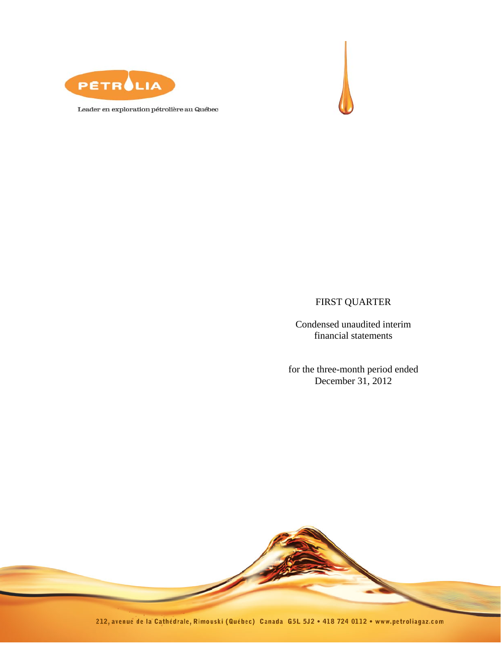



Leader en exploration pétrolière au Québec

# FIRST QUARTER

Condensed unaudited interim financial statements

for the three-month period ended December 31, 2012

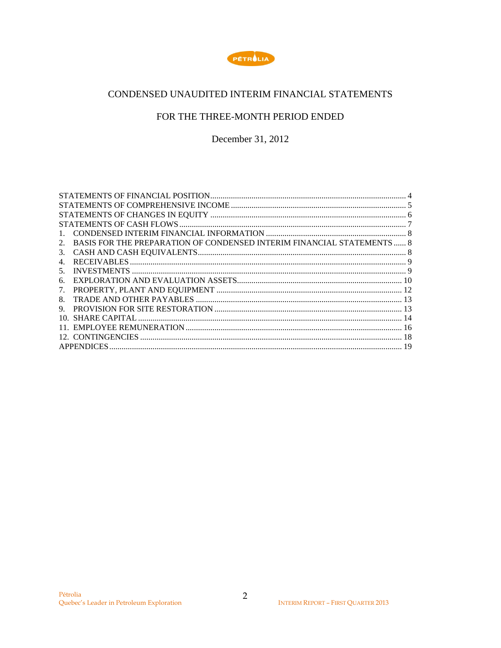

# CONDENSED UNAUDITED INTERIM FINANCIAL STATEMENTS

## FOR THE THREE-MONTH PERIOD ENDED

December 31, 2012

| BASIS FOR THE PREPARATION OF CONDENSED INTERIM FINANCIAL STATEMENTS  8<br>2. |  |
|------------------------------------------------------------------------------|--|
| 3.                                                                           |  |
| 4.                                                                           |  |
| 5.                                                                           |  |
| 6.                                                                           |  |
| 7.                                                                           |  |
| 8.                                                                           |  |
| 9.                                                                           |  |
|                                                                              |  |
|                                                                              |  |
|                                                                              |  |
|                                                                              |  |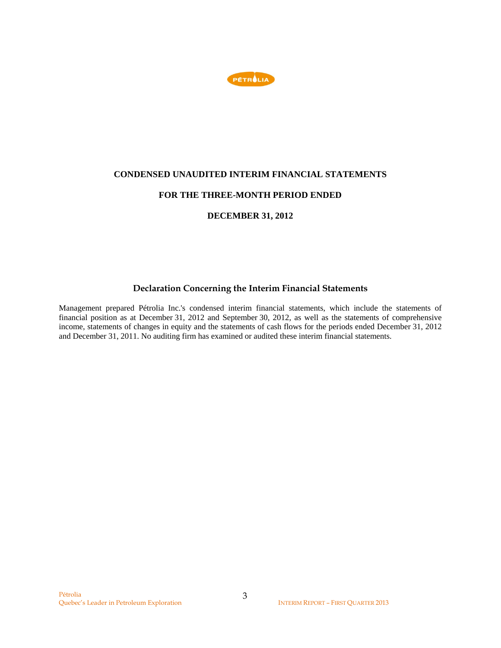

### **CONDENSED UNAUDITED INTERIM FINANCIAL STATEMENTS**

## **FOR THE THREE-MONTH PERIOD ENDED**

## **DECEMBER 31, 2012**

## **Declaration Concerning the Interim Financial Statements**

Management prepared Pétrolia Inc.'s condensed interim financial statements, which include the statements of financial position as at December 31, 2012 and September 30, 2012, as well as the statements of comprehensive income, statements of changes in equity and the statements of cash flows for the periods ended December 31, 2012 and December 31, 2011. No auditing firm has examined or audited these interim financial statements.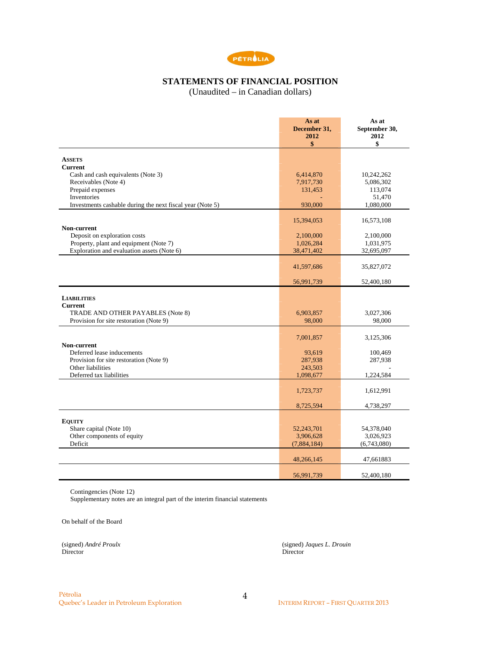

## **STATEMENTS OF FINANCIAL POSITION**

(Unaudited – in Canadian dollars)

|                                                           | As at<br>December 31,<br>2012<br>\$ | As at<br>September 30,<br>2012<br>\$ |
|-----------------------------------------------------------|-------------------------------------|--------------------------------------|
| <b>ASSETS</b>                                             |                                     |                                      |
| Current                                                   |                                     |                                      |
| Cash and cash equivalents (Note 3)                        | 6,414,870                           | 10,242,262                           |
| Receivables (Note 4)                                      | 7,917,730                           | 5,086,302                            |
| Prepaid expenses                                          | 131,453                             | 113,074                              |
| Inventories                                               |                                     | 51,470                               |
| Investments cashable during the next fiscal year (Note 5) | 930,000                             | 1,080,000                            |
|                                                           | 15,394,053                          | 16,573,108                           |
| Non-current<br>Deposit on exploration costs               | 2,100,000                           | 2,100,000                            |
| Property, plant and equipment (Note 7)                    | 1,026,284                           | 1,031,975                            |
| Exploration and evaluation assets (Note 6)                | 38,471,402                          | 32,695,097                           |
|                                                           |                                     |                                      |
|                                                           | 41,597,686                          | 35,827,072                           |
|                                                           | 56,991,739                          | 52,400,180                           |
|                                                           |                                     |                                      |
| <b>LIABILITIES</b><br><b>Current</b>                      |                                     |                                      |
| TRADE AND OTHER PAYABLES (Note 8)                         | 6,903,857                           | 3,027,306                            |
| Provision for site restoration (Note 9)                   | 98,000                              | 98,000                               |
|                                                           |                                     |                                      |
|                                                           | 7,001,857                           | 3,125,306                            |
| Non-current                                               |                                     |                                      |
| Deferred lease inducements                                | 93,619                              | 100,469                              |
| Provision for site restoration (Note 9)                   | 287,938                             | 287,938                              |
| Other liabilities                                         | 243,503                             |                                      |
| Deferred tax liabilities                                  | 1,098,677                           | 1,224,584                            |
|                                                           | 1,723,737                           | 1,612,991                            |
|                                                           | 8,725,594                           | 4,738,297                            |
|                                                           |                                     |                                      |
| <b>EQUITY</b>                                             |                                     |                                      |
| Share capital (Note 10)<br>Other components of equity     | 52,243,701<br>3,906,628             | 54,378,040<br>3,026,923              |
| Deficit                                                   | (7,884,184)                         | (6,743,080)                          |
|                                                           |                                     |                                      |
|                                                           | 48,266,145                          | 47,661883                            |
|                                                           | 56,991,739                          | 52,400,180                           |

Contingencies (Note 12)

Supplementary notes are an integral part of the interim financial statements

On behalf of the Board

Director Director Director

(signed) *André Proulx* (signed) *Jaques L. Drouin*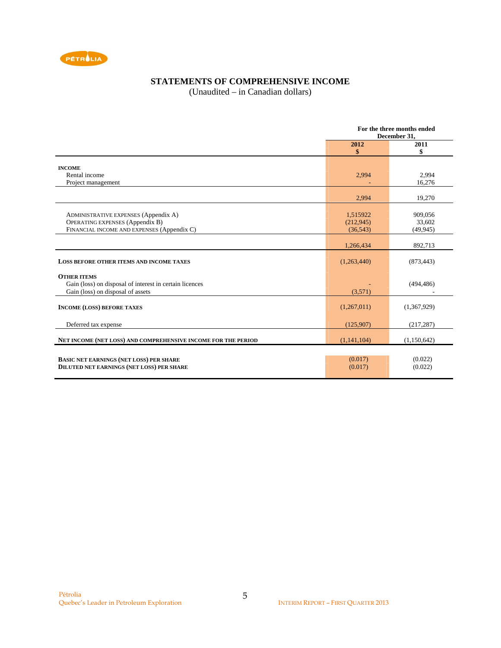

# **STATEMENTS OF COMPREHENSIVE INCOME**

(Unaudited – in Canadian dollars)

|                                                               | For the three months ended<br>December 31. |             |  |
|---------------------------------------------------------------|--------------------------------------------|-------------|--|
|                                                               | 2012                                       | 2011        |  |
|                                                               | \$                                         | \$          |  |
| <b>INCOME</b>                                                 |                                            |             |  |
| Rental income                                                 | 2,994                                      | 2,994       |  |
| Project management                                            |                                            | 16,276      |  |
|                                                               |                                            |             |  |
|                                                               | 2,994                                      | 19,270      |  |
|                                                               |                                            |             |  |
| ADMINISTRATIVE EXPENSES (Appendix A)                          | 1,515922                                   | 909,056     |  |
| <b>OPERATING EXPENSES (Appendix B)</b>                        | (212, 945)                                 | 33,602      |  |
| FINANCIAL INCOME AND EXPENSES (Appendix C)                    | (36, 543)                                  | (49, 945)   |  |
|                                                               |                                            |             |  |
|                                                               | 1,266,434                                  | 892,713     |  |
|                                                               |                                            |             |  |
| <b>LOSS BEFORE OTHER ITEMS AND INCOME TAXES</b>               | (1,263,440)                                | (873, 443)  |  |
| <b>OTHER ITEMS</b>                                            |                                            |             |  |
| Gain (loss) on disposal of interest in certain licences       |                                            | (494, 486)  |  |
| Gain (loss) on disposal of assets                             | (3,571)                                    |             |  |
|                                                               |                                            |             |  |
| <b>INCOME (LOSS) BEFORE TAXES</b>                             | (1,267,011)                                | (1,367,929) |  |
|                                                               |                                            |             |  |
| Deferred tax expense                                          | (125,907)                                  | (217, 287)  |  |
|                                                               |                                            |             |  |
| NET INCOME (NET LOSS) AND COMPREHENSIVE INCOME FOR THE PERIOD | (1,141,104)                                | (1,150,642) |  |
|                                                               |                                            |             |  |
| <b>BASIC NET EARNINGS (NET LOSS) PER SHARE</b>                | (0.017)                                    | (0.022)     |  |
| <b>DILUTED NET EARNINGS (NET LOSS) PER SHARE</b>              | (0.017)                                    | (0.022)     |  |
|                                                               |                                            |             |  |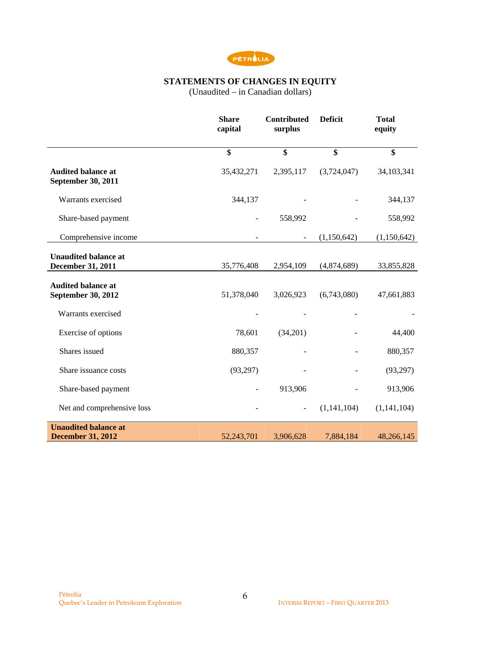

### **STATEMENTS OF CHANGES IN EQUITY**

(Unaudited – in Canadian dollars)

|                                                         | <b>Share</b><br>capital  | <b>Contributed</b><br>surplus | <b>Deficit</b> | <b>Total</b><br>equity |
|---------------------------------------------------------|--------------------------|-------------------------------|----------------|------------------------|
|                                                         | \$                       | \$                            | \$             | \$                     |
| <b>Audited balance at</b><br>September 30, 2011         | 35,432,271               | 2,395,117                     | (3,724,047)    | 34,103,341             |
| Warrants exercised                                      | 344,137                  |                               |                | 344,137                |
| Share-based payment                                     | $\blacksquare$           | 558,992                       |                | 558,992                |
| Comprehensive income                                    |                          |                               | (1,150,642)    | (1,150,642)            |
| <b>Unaudited balance at</b><br>December 31, 2011        | 35,776,408               | 2,954,109                     | (4,874,689)    | 33,855,828             |
| <b>Audited balance at</b><br>September 30, 2012         | 51,378,040               | 3,026,923                     | (6,743,080)    | 47,661,883             |
| Warrants exercised                                      |                          |                               |                |                        |
| Exercise of options                                     | 78,601                   | (34,201)                      |                | 44,400                 |
| Shares issued                                           | 880,357                  |                               |                | 880,357                |
| Share issuance costs                                    | (93,297)                 |                               |                | (93,297)               |
| Share-based payment                                     | $\overline{\phantom{0}}$ | 913,906                       |                | 913,906                |
| Net and comprehensive loss                              |                          |                               | (1,141,104)    | (1, 141, 104)          |
| <b>Unaudited balance at</b><br><b>December 31, 2012</b> | 52,243,701               | 3,906,628                     | 7,884,184      | 48,266,145             |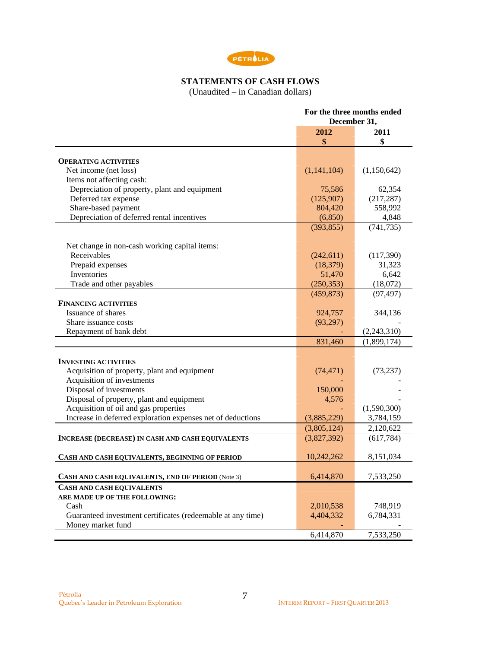

### **STATEMENTS OF CASH FLOWS**

(Unaudited – in Canadian dollars)

|                                                                                  | For the three months ended<br>December 31, |             |  |
|----------------------------------------------------------------------------------|--------------------------------------------|-------------|--|
|                                                                                  | 2012                                       | 2011        |  |
|                                                                                  | \$                                         | \$          |  |
|                                                                                  |                                            |             |  |
| <b>OPERATING ACTIVITIES</b>                                                      |                                            |             |  |
| Net income (net loss)                                                            | (1,141,104)                                | (1,150,642) |  |
| Items not affecting cash:                                                        |                                            |             |  |
| Depreciation of property, plant and equipment                                    | 75,586                                     | 62,354      |  |
| Deferred tax expense                                                             | (125,907)                                  | (217, 287)  |  |
| Share-based payment                                                              | 804,420                                    | 558,992     |  |
| Depreciation of deferred rental incentives                                       | (6,850)                                    | 4,848       |  |
|                                                                                  | (393, 855)                                 | (741, 735)  |  |
| Net change in non-cash working capital items:                                    |                                            |             |  |
| Receivables                                                                      | (242, 611)                                 | (117,390)   |  |
| Prepaid expenses                                                                 | (18, 379)                                  | 31,323      |  |
| Inventories                                                                      | 51,470                                     | 6,642       |  |
| Trade and other payables                                                         | (250, 353)                                 | (18,072)    |  |
|                                                                                  | (459, 873)                                 | (97, 497)   |  |
| <b>FINANCING ACTIVITIES</b>                                                      |                                            |             |  |
| Issuance of shares                                                               | 924,757                                    | 344,136     |  |
| Share issuance costs                                                             | (93,297)                                   |             |  |
| Repayment of bank debt                                                           |                                            | (2,243,310) |  |
|                                                                                  | 831,460                                    | (1,899,174) |  |
|                                                                                  |                                            |             |  |
| <b>INVESTING ACTIVITIES</b>                                                      |                                            |             |  |
| Acquisition of property, plant and equipment                                     | (74, 471)                                  | (73, 237)   |  |
| Acquisition of investments                                                       |                                            |             |  |
| Disposal of investments                                                          | 150,000                                    |             |  |
| Disposal of property, plant and equipment                                        | 4,576                                      |             |  |
| Acquisition of oil and gas properties                                            |                                            | (1,590,300) |  |
| Increase in deferred exploration expenses net of deductions                      | (3,885,229)                                | 3,784,159   |  |
|                                                                                  | (3,805,124)                                | 2,120,622   |  |
| <b>INCREASE (DECREASE) IN CASH AND CASH EQUIVALENTS</b>                          | (3,827,392)                                | (617, 784)  |  |
| CASH AND CASH EQUIVALENTS, BEGINNING OF PERIOD                                   | 10,242,262                                 | 8,151,034   |  |
|                                                                                  |                                            |             |  |
| CASH AND CASH EQUIVALENTS, END OF PERIOD (Note 3)                                | 6,414,870                                  | 7,533,250   |  |
| <b>CASH AND CASH EQUIVALENTS</b>                                                 |                                            |             |  |
| ARE MADE UP OF THE FOLLOWING:                                                    |                                            |             |  |
| Cash                                                                             | 2,010,538                                  | 748,919     |  |
| Guaranteed investment certificates (redeemable at any time)<br>Money market fund | 4,404,332                                  | 6,784,331   |  |
|                                                                                  | 6,414,870                                  | 7,533,250   |  |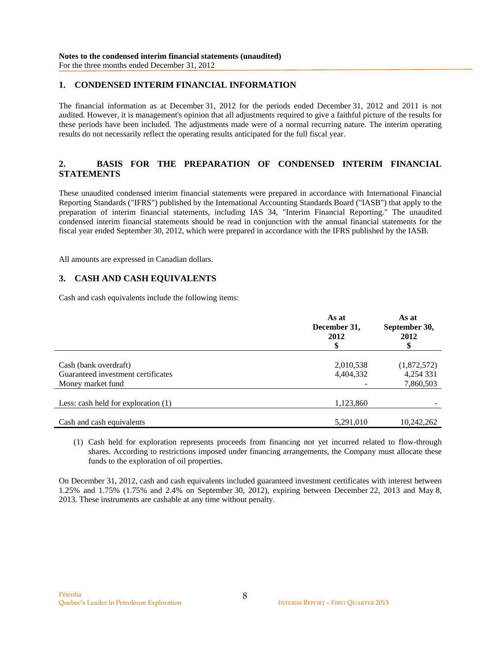### **1. CONDENSED INTERIM FINANCIAL INFORMATION**

The financial information as at December 31, 2012 for the periods ended December 31, 2012 and 2011 is not audited. However, it is management's opinion that all adjustments required to give a faithful picture of the results for these periods have been included. The adjustments made were of a normal recurring nature. The interim operating results do not necessarily reflect the operating results anticipated for the full fiscal year.

## **2. BASIS FOR THE PREPARATION OF CONDENSED INTERIM FINANCIAL STATEMENTS**

These unaudited condensed interim financial statements were prepared in accordance with International Financial Reporting Standards ("IFRS") published by the International Accounting Standards Board ("IASB") that apply to the preparation of interim financial statements, including IAS 34, "Interim Financial Reporting." The unaudited condensed interim financial statements should be read in conjunction with the annual financial statements for the fiscal year ended September 30, 2012, which were prepared in accordance with the IFRS published by the IASB.

All amounts are expressed in Canadian dollars.

## **3. CASH AND CASH EQUIVALENTS**

Cash and cash equivalents include the following items:

|                                     | As at<br>December 31,<br>2012<br>\$ | As at<br>September 30,<br>2012 |
|-------------------------------------|-------------------------------------|--------------------------------|
|                                     |                                     |                                |
| Cash (bank overdraft)               | 2,010,538                           | (1,872,572)                    |
| Guaranteed investment certificates  | 4,404,332                           | 4,254 331                      |
| Money market fund                   |                                     | 7,860,503                      |
|                                     |                                     |                                |
| Less: cash held for exploration (1) | 1,123,860                           |                                |
|                                     |                                     |                                |
| Cash and cash equivalents           | 5,291,010                           | 10,242,262                     |

(1) Cash held for exploration represents proceeds from financing not yet incurred related to flow-through shares. According to restrictions imposed under financing arrangements, the Company must allocate these funds to the exploration of oil properties.

On December 31, 2012, cash and cash equivalents included guaranteed investment certificates with interest between 1.25% and 1.75% (1.75% and 2.4% on September 30, 2012), expiring between December 22, 2013 and May 8, 2013. These instruments are cashable at any time without penalty.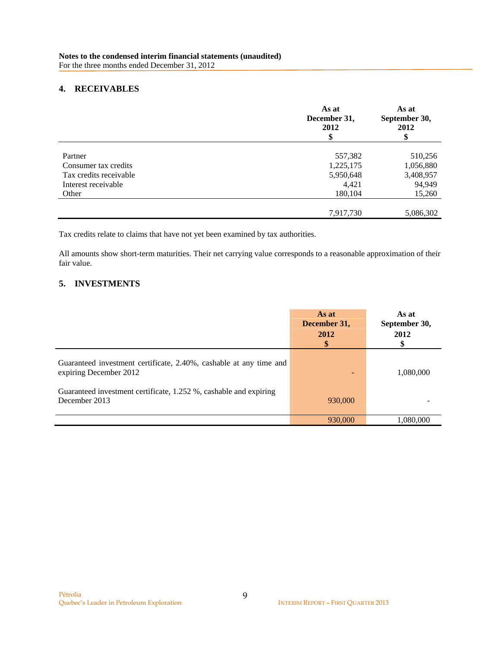## **4. RECEIVABLES**

|                        | As at<br>December 31,<br>2012<br>ъ | As at<br>September 30,<br>2012<br>\$ |
|------------------------|------------------------------------|--------------------------------------|
|                        |                                    |                                      |
| Partner                | 557,382                            | 510,256                              |
| Consumer tax credits   | 1,225,175                          | 1,056,880                            |
| Tax credits receivable | 5,950,648                          | 3,408,957                            |
| Interest receivable    | 4,421                              | 94,949                               |
| Other                  | 180,104                            | 15,260                               |
|                        |                                    |                                      |
|                        | 7,917,730                          | 5,086,302                            |

Tax credits relate to claims that have not yet been examined by tax authorities.

All amounts show short-term maturities. Their net carrying value corresponds to a reasonable approximation of their fair value.

## **5. INVESTMENTS**

|                                                                                              | As at<br>December 31,<br>2012<br>\$ | As at<br>September 30,<br>2012 |
|----------------------------------------------------------------------------------------------|-------------------------------------|--------------------------------|
| Guaranteed investment certificate, 2.40%, cashable at any time and<br>expiring December 2012 |                                     | 1,080,000                      |
| Guaranteed investment certificate, 1.252 %, cashable and expiring<br>December 2013           | 930,000                             |                                |
|                                                                                              | 930,000                             | 1,080,000                      |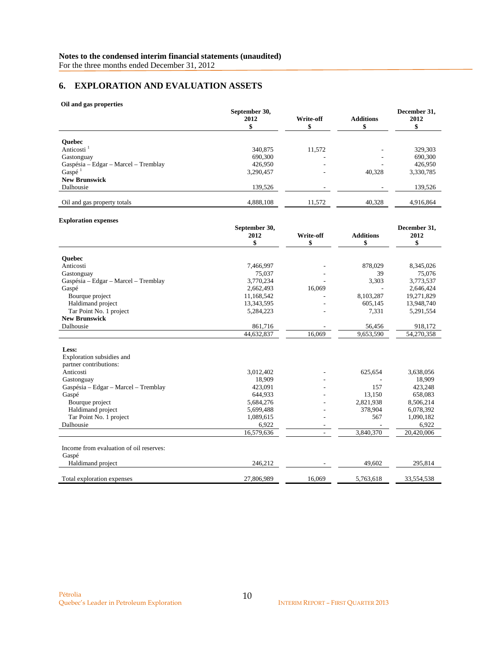For the three months ended December 31, 2012

## **6. EXPLORATION AND EVALUATION ASSETS**

#### **Oil and gas properties**

|                                      | September 30,<br>2012 | Write-off | <b>Additions</b> | December 31,<br>2012 |
|--------------------------------------|-----------------------|-----------|------------------|----------------------|
|                                      |                       |           |                  |                      |
| <b>Ouebec</b>                        |                       |           |                  |                      |
| Anticosti <sup>1</sup>               | 340,875               | 11,572    |                  | 329,303              |
| Gastonguay                           | 690,300               | -         | ۰.               | 690,300              |
| Gaspésia – Edgar – Marcel – Tremblay | 426,950               |           |                  | 426,950              |
| Gaspé <sup>1</sup>                   | 3,290,457             |           | 40,328           | 3,330,785            |
| <b>New Brunswick</b>                 |                       |           |                  |                      |
| Dalhousie                            | 139,526               |           |                  | 139,526              |
| Oil and gas property totals          | 4,888,108             | 11,572    | 40,328           | 4,916,864            |

#### **Exploration expenses**

|                                         | September 30, |           |                  | December 31, |
|-----------------------------------------|---------------|-----------|------------------|--------------|
|                                         | 2012          | Write-off | <b>Additions</b> | 2012         |
|                                         | \$            | \$        | \$               | \$           |
| Quebec                                  |               |           |                  |              |
| Anticosti                               | 7,466,997     |           | 878,029          | 8,345,026    |
| Gastonguay                              | 75,037        |           | 39               | 75,076       |
| Gaspésia – Edgar – Marcel – Tremblay    | 3,770,234     |           | 3,303            | 3,773,537    |
| Gaspé                                   | 2,662,493     | 16,069    |                  | 2,646,424    |
| Bourque project                         | 11,168,542    |           | 8,103,287        | 19,271,829   |
| Haldimand project                       | 13,343,595    |           | 605,145          | 13,948,740   |
| Tar Point No. 1 project                 | 5,284,223     |           | 7,331            | 5,291,554    |
| <b>New Brunswick</b>                    |               |           |                  |              |
| Dalhousie                               | 861,716       |           | 56,456           | 918,172      |
|                                         | 44,632,837    | 16,069    | 9,653,590        | 54,270,358   |
| Less:                                   |               |           |                  |              |
| Exploration subsidies and               |               |           |                  |              |
| partner contributions:                  |               |           |                  |              |
| Anticosti                               | 3,012,402     |           | 625,654          | 3,638,056    |
| Gastonguay                              | 18,909        |           |                  | 18,909       |
| Gaspésia – Edgar – Marcel – Tremblay    | 423,091       |           | 157              | 423,248      |
| Gaspé                                   | 644,933       |           | 13,150           | 658,083      |
| Bourque project                         | 5,684,276     |           | 2,821,938        | 8,506,214    |
| Haldimand project                       | 5,699,488     |           | 378,904          | 6,078,392    |
| Tar Point No. 1 project                 | 1,089,615     |           | 567              | 1,090,182    |
| Dalhousie                               | 6,922         |           |                  | 6,922        |
|                                         | 16,579,636    |           | 3,840,370        | 20,420,006   |
| Income from evaluation of oil reserves: |               |           |                  |              |
| Gaspé                                   |               |           |                  |              |
| Haldimand project                       | 246,212       |           | 49,602           | 295,814      |
| Total exploration expenses              | 27,806,989    | 16,069    | 5,763,618        | 33,554,538   |
|                                         |               |           |                  |              |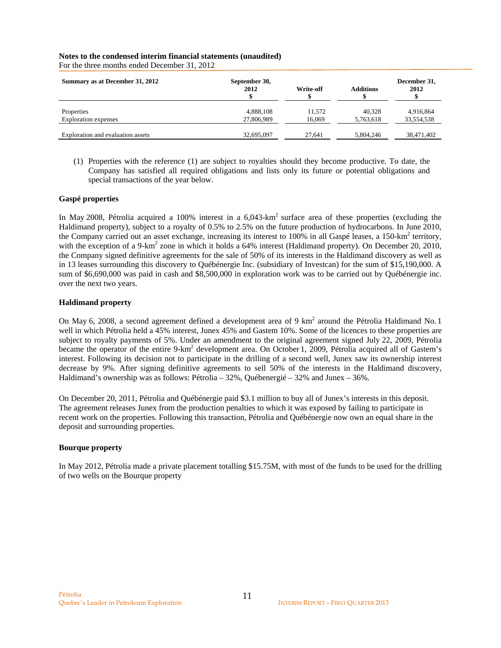For the three months ended December 31, 2012

| Summary as at December 31, 2012   | September 30,<br>2012 | Write-off | <b>Additions</b> | December 31,<br>2012 |
|-----------------------------------|-----------------------|-----------|------------------|----------------------|
| Properties                        | 4,888,108             | 11,572    | 40.328           | 4,916,864            |
| <b>Exploration</b> expenses       | 27,806,989            | 16.069    | 5,763,618        | 33,554,538           |
| Exploration and evaluation assets | 32,695,097            | 27.641    | 5.804.246        | 38,471,402           |

(1) Properties with the reference (1) are subject to royalties should they become productive. To date, the Company has satisfied all required obligations and lists only its future or potential obligations and special transactions of the year below.

#### **Gaspé properties**

In May 2008, Pétrolia acquired a 100% interest in a 6,043-km<sup>2</sup> surface area of these properties (excluding the Haldimand property), subject to a royalty of 0.5% to 2.5% on the future production of hydrocarbons. In June 2010, the Company carried out an asset exchange, increasing its interest to 100% in all Gaspé leases, a 150-km<sup>2</sup> territory, with the exception of a 9-km<sup>2</sup> zone in which it holds a 64% interest (Haldimand property). On December 20, 2010, the Company signed definitive agreements for the sale of 50% of its interests in the Haldimand discovery as well as in 13 leases surrounding this discovery to Québénergie Inc. (subsidiary of Investcan) for the sum of \$15,190,000. A sum of \$6,690,000 was paid in cash and \$8,500,000 in exploration work was to be carried out by Québénergie inc. over the next two years.

#### **Haldimand property**

On May 6, 2008, a second agreement defined a development area of 9  $km^2$  around the Pétrolia Haldimand No. 1 well in which Pétrolia held a 45% interest, Junex 45% and Gastem 10%. Some of the licences to these properties are subject to royalty payments of 5%. Under an amendment to the original agreement signed July 22, 2009, Pétrolia became the operator of the entire 9-km<sup>2</sup> development area. On October 1, 2009, Pétrolia acquired all of Gastem's interest. Following its decision not to participate in the drilling of a second well, Junex saw its ownership interest decrease by 9%. After signing definitive agreements to sell 50% of the interests in the Haldimand discovery, Haldimand's ownership was as follows: Pétrolia – 32%, Québenergié – 32% and Junex – 36%.

On December 20, 2011, Pétrolia and Québénergie paid \$3.1 million to buy all of Junex's interests in this deposit. The agreement releases Junex from the production penalties to which it was exposed by failing to participate in recent work on the properties. Following this transaction, Pétrolia and Québénergie now own an equal share in the deposit and surrounding properties.

### **Bourque property**

In May 2012, Pétrolia made a private placement totalling \$15.75M, with most of the funds to be used for the drilling of two wells on the Bourque property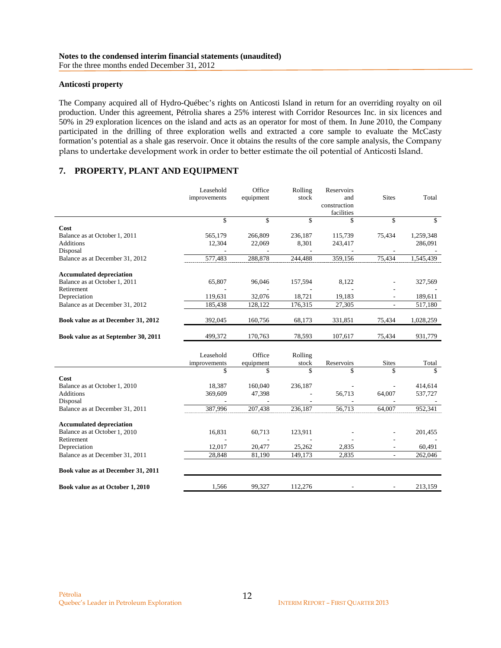#### **Anticosti property**

The Company acquired all of Hydro-Québec's rights on Anticosti Island in return for an overriding royalty on oil production. Under this agreement, Pétrolia shares a 25% interest with Corridor Resources Inc. in six licences and 50% in 29 exploration licences on the island and acts as an operator for most of them. In June 2010, the Company participated in the drilling of three exploration wells and extracted a core sample to evaluate the McCasty formation's potential as a shale gas reservoir. Once it obtains the results of the core sample analysis, the Company plans to undertake development work in order to better estimate the oil potential of Anticosti Island.

## **7. PROPERTY, PLANT AND EQUIPMENT**

|                                                                                                   | Leasehold<br>improvements    | Office<br>equipment          | Rolling<br>stock   | Reservoirs<br>and<br>construction<br>facilities | <b>Sites</b>       | Total                         |
|---------------------------------------------------------------------------------------------------|------------------------------|------------------------------|--------------------|-------------------------------------------------|--------------------|-------------------------------|
|                                                                                                   | $\mathbf S$                  | $\mathcal{S}$                | \$                 | \$                                              | \$                 | \$                            |
| Cost<br>Balance as at October 1, 2011<br><b>Additions</b><br>Disposal                             | 565,179<br>12,304            | 266,809<br>22,069            | 236,187<br>8,301   | 115,739<br>243,417                              | 75,434             | 1,259,348<br>286,091          |
| Balance as at December 31, 2012                                                                   | 577,483                      | 288,878                      | 244,488            | 359,156                                         | 75.434             | 1,545,439                     |
| <b>Accumulated depreciation</b><br>Balance as at October 1, 2011<br>Retirement<br>Depreciation    | 65,807<br>119,631            | 96,046<br>32,076             | 157,594<br>18,721  | 8,122<br>19,183                                 |                    | 327,569<br>189,611            |
| Balance as at December 31, 2012                                                                   | 185,438                      | 128,122                      | 176,315            | 27,305                                          |                    | 517,180                       |
| Book value as at December 31, 2012                                                                | 392,045                      | 160,756                      | 68,173             | 331,851                                         | 75,434             | 1,028,259                     |
| Book value as at September 30, 2011                                                               | 499,372                      | 170,763                      | 78,593             | 107,617                                         | 75,434             | 931,779                       |
|                                                                                                   | Leasehold<br>improvements    | Office<br>equipment          | Rolling<br>stock   | Reservoirs                                      | <b>Sites</b>       | Total                         |
|                                                                                                   | \$                           | \$                           | \$                 | \$                                              | $\mathbf{\hat{S}}$ | $\mathcal{S}$                 |
| Cost<br>Balance as at October 1, 2010<br>Additions<br>Disposal<br>Balance as at December 31, 2011 | 18,387<br>369,609<br>387.996 | 160,040<br>47,398<br>207.438 | 236,187<br>236.187 | 56,713<br>56.713                                | 64,007<br>64.007   | 414,614<br>537,727<br>952,341 |
| <b>Accumulated depreciation</b><br>Balance as at October 1, 2010                                  | 16,831                       | 60,713                       | 123,911            |                                                 |                    | 201,455                       |
| Retirement<br>Depreciation                                                                        | 12,017                       | 20,477                       | 25,262             | 2,835                                           |                    | 60,491                        |
| Balance as at December 31, 2011                                                                   | 28,848                       | 81,190                       | 149,173            | 2,835                                           | $\overline{a}$     | 262,046                       |
| Book value as at December 31, 2011                                                                |                              |                              |                    |                                                 |                    |                               |
| Book value as at October 1, 2010                                                                  | 1,566                        | 99,327                       | 112,276            |                                                 | ٠                  | 213,159                       |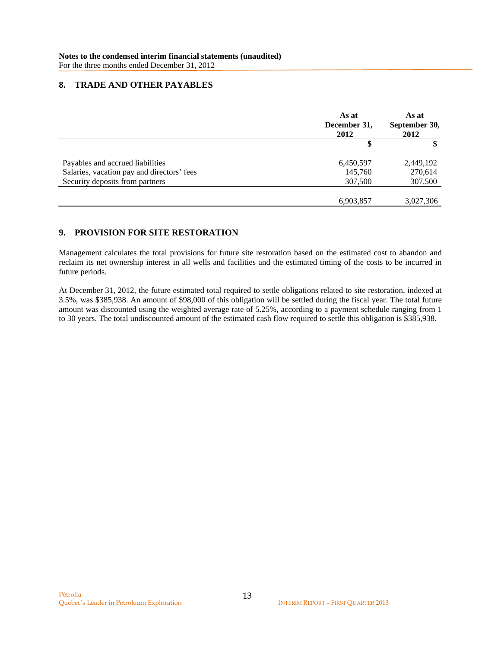### **8. TRADE AND OTHER PAYABLES**

|                                            | As at<br>December 31,<br>2012 | As at<br>September 30,<br>2012 |
|--------------------------------------------|-------------------------------|--------------------------------|
|                                            | \$                            |                                |
| Payables and accrued liabilities           | 6,450,597                     | 2,449,192                      |
| Salaries, vacation pay and directors' fees | 145,760                       | 270,614                        |
| Security deposits from partners            | 307,500                       | 307,500                        |
|                                            |                               |                                |
|                                            | 6,903,857                     | 3,027,306                      |

### **9. PROVISION FOR SITE RESTORATION**

Management calculates the total provisions for future site restoration based on the estimated cost to abandon and reclaim its net ownership interest in all wells and facilities and the estimated timing of the costs to be incurred in future periods.

At December 31, 2012, the future estimated total required to settle obligations related to site restoration, indexed at 3.5%, was \$385,938. An amount of \$98,000 of this obligation will be settled during the fiscal year. The total future amount was discounted using the weighted average rate of 5.25%, according to a payment schedule ranging from 1 to 30 years. The total undiscounted amount of the estimated cash flow required to settle this obligation is \$385,938.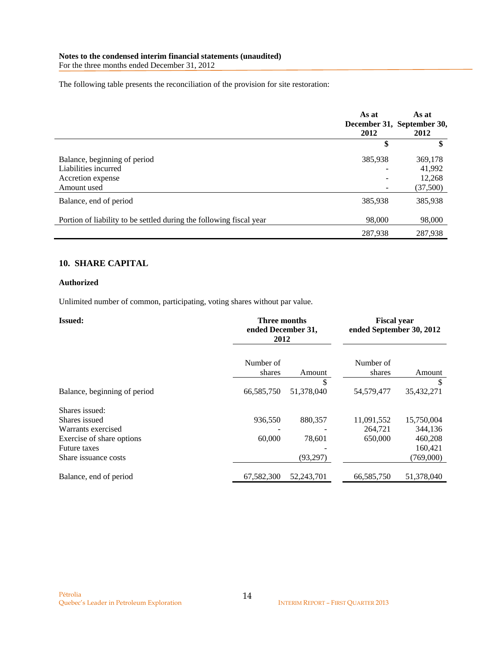For the three months ended December 31, 2012

The following table presents the reconciliation of the provision for site restoration:

|                                                                                          | As at<br>2012 | As at<br>December 31, September 30,<br>2012 |
|------------------------------------------------------------------------------------------|---------------|---------------------------------------------|
|                                                                                          | \$            | \$                                          |
| Balance, beginning of period<br>Liabilities incurred<br>Accretion expense<br>Amount used | 385,938       | 369,178<br>41,992<br>12,268<br>(37,500)     |
| Balance, end of period                                                                   | 385,938       | 385,938                                     |
| Portion of liability to be settled during the following fiscal year                      | 98,000        | 98,000                                      |
|                                                                                          | 287,938       | 287,938                                     |

## **10. SHARE CAPITAL**

#### **Authorized**

Unlimited number of common, participating, voting shares without par value.

| <b>Issued:</b>               | Three months<br>ended December 31,<br>2012 |                  | <b>Fiscal year</b><br>ended September 30, 2012 |                  |
|------------------------------|--------------------------------------------|------------------|------------------------------------------------|------------------|
|                              | Number of<br>shares                        | Amount           | Number of<br>shares                            | Amount           |
| Balance, beginning of period | 66,585,750                                 | \$<br>51,378,040 | 54,579,477                                     | \$<br>35,432,271 |
| Shares issued:               |                                            |                  |                                                |                  |
| Shares issued                | 936,550                                    | 880,357          | 11,091,552                                     | 15,750,004       |
| Warrants exercised           |                                            |                  | 264,721                                        | 344,136          |
| Exercise of share options    | 60,000                                     | 78,601           | 650,000                                        | 460,208          |
| <b>Future taxes</b>          |                                            |                  |                                                | 160,421          |
| Share issuance costs         |                                            | (93,297)         |                                                | (769,000)        |
| Balance, end of period       | 67,582,300                                 | 52,243,701       | 66,585,750                                     | 51,378,040       |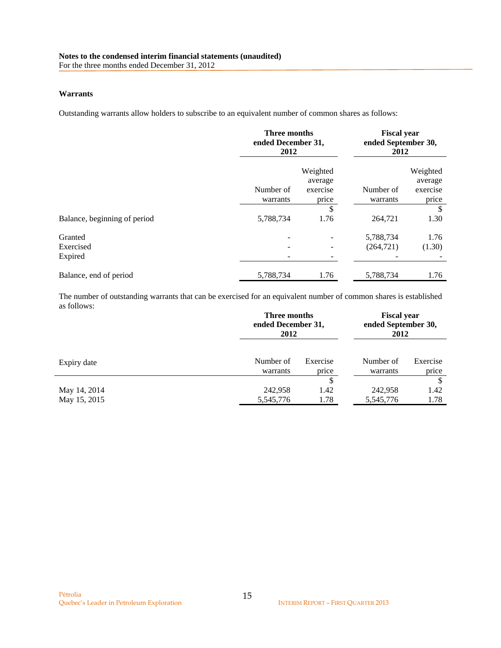For the three months ended December 31, 2012

### **Warrants**

Outstanding warrants allow holders to subscribe to an equivalent number of common shares as follows:

|                              | Three months<br>ended December 31,<br>2012 |                     | <b>Fiscal year</b><br>ended September 30,<br>2012 |                     |
|------------------------------|--------------------------------------------|---------------------|---------------------------------------------------|---------------------|
|                              |                                            | Weighted<br>average |                                                   | Weighted<br>average |
|                              | Number of                                  | exercise            | Number of                                         | exercise            |
|                              | warrants                                   | price               | warrants                                          | price               |
|                              |                                            | \$                  |                                                   | S                   |
| Balance, beginning of period | 5,788,734                                  | 1.76                | 264,721                                           | 1.30                |
| Granted                      |                                            |                     | 5,788,734                                         | 1.76                |
| Exercised                    |                                            |                     | (264, 721)                                        | (1.30)              |
| Expired                      |                                            |                     |                                                   |                     |
| Balance, end of period       | 5,788,734                                  | 1.76                | 5,788,734                                         | 1.76                |

The number of outstanding warrants that can be exercised for an equivalent number of common shares is established as follows:

| ended December 31,<br>2012 |                   | <b>Fiscal year</b><br>ended September 30,<br>2012 |                   |
|----------------------------|-------------------|---------------------------------------------------|-------------------|
| Number of<br>warrants      | Exercise<br>price | Number of<br>warrants                             | Exercise<br>price |
|                            | S                 |                                                   |                   |
| 242,958                    | 1.42              | 242,958                                           | 1.42              |
| 5,545,776                  | 1.78              | 5,545,776                                         | 1.78              |
|                            |                   | Three months                                      |                   |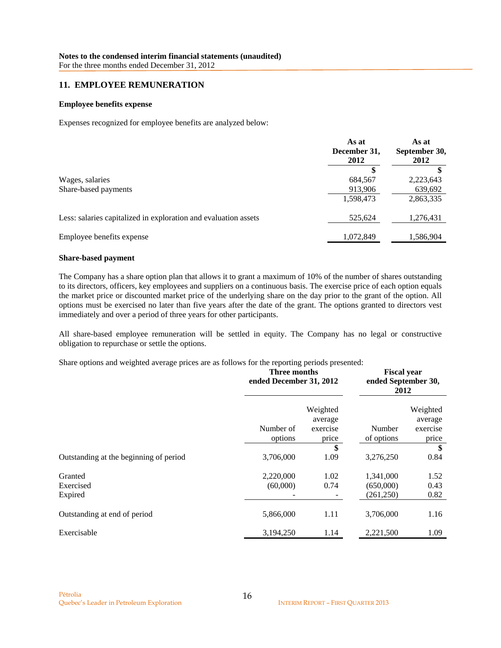### **11. EMPLOYEE REMUNERATION**

#### **Employee benefits expense**

Expenses recognized for employee benefits are analyzed below:

|                                                                 | As at<br>December 31,<br>2012 | As at<br>September 30,<br>2012 |
|-----------------------------------------------------------------|-------------------------------|--------------------------------|
|                                                                 | \$.                           |                                |
| Wages, salaries                                                 | 684,567                       | 2,223,643                      |
| Share-based payments                                            | 913,906                       | 639,692                        |
|                                                                 | 1,598,473                     | 2,863,335                      |
| Less: salaries capitalized in exploration and evaluation assets | 525,624                       | 1,276,431                      |
| Employee benefits expense                                       | 1,072,849                     | 1,586,904                      |

#### **Share-based payment**

The Company has a share option plan that allows it to grant a maximum of 10% of the number of shares outstanding to its directors, officers, key employees and suppliers on a continuous basis. The exercise price of each option equals the market price or discounted market price of the underlying share on the day prior to the grant of the option. All options must be exercised no later than five years after the date of the grant. The options granted to directors vest immediately and over a period of three years for other participants.

All share-based employee remuneration will be settled in equity. The Company has no legal or constructive obligation to repurchase or settle the options.

Share options and weighted average prices are as follows for the reporting periods presented:

|                                        |           | Three months<br>ended December 31, 2012 |            | <b>Fiscal year</b><br>ended September 30,<br>2012 |  |
|----------------------------------------|-----------|-----------------------------------------|------------|---------------------------------------------------|--|
|                                        |           | Weighted<br>average                     |            | Weighted<br>average                               |  |
|                                        | Number of | exercise                                | Number     | exercise                                          |  |
|                                        | options   | price                                   | of options | price                                             |  |
|                                        |           | \$                                      |            | \$                                                |  |
| Outstanding at the beginning of period | 3,706,000 | 1.09                                    | 3,276,250  | 0.84                                              |  |
| Granted                                | 2,220,000 | 1.02                                    | 1,341,000  | 1.52                                              |  |
| Exercised                              | (60,000)  | 0.74                                    | (650,000)  | 0.43                                              |  |
| Expired                                |           |                                         | (261,250)  | 0.82                                              |  |
| Outstanding at end of period           | 5,866,000 | 1.11                                    | 3,706,000  | 1.16                                              |  |
| Exercisable                            | 3,194,250 | 1.14                                    | 2,221,500  | 1.09                                              |  |
|                                        |           |                                         |            |                                                   |  |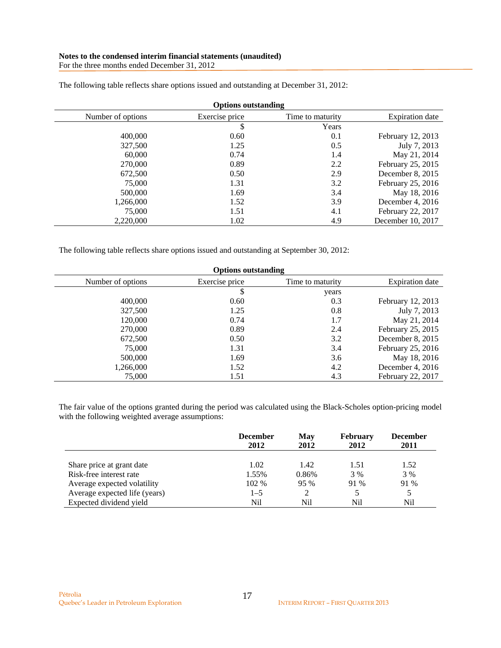For the three months ended December 31, 2012

| <b>Options outstanding</b> |                |                  |                        |  |  |
|----------------------------|----------------|------------------|------------------------|--|--|
| Number of options          | Exercise price | Time to maturity | <b>Expiration</b> date |  |  |
|                            | \$             | Years            |                        |  |  |
| 400,000                    | 0.60           | 0.1              | February 12, 2013      |  |  |
| 327,500                    | 1.25           | 0.5              | July 7, 2013           |  |  |
| 60,000                     | 0.74           | 1.4              | May 21, 2014           |  |  |
| 270,000                    | 0.89           | 2.2              | February 25, 2015      |  |  |
| 672,500                    | 0.50           | 2.9              | December 8, 2015       |  |  |
| 75,000                     | 1.31           | 3.2              | February 25, 2016      |  |  |
| 500,000                    | 1.69           | 3.4              | May 18, 2016           |  |  |
| 1,266,000                  | 1.52           | 3.9              | December 4, $2016$     |  |  |
| 75,000                     | 1.51           | 4.1              | February 22, 2017      |  |  |
| 2,220,000                  | 1.02           | 4.9              | December 10, 2017      |  |  |

The following table reflects share options issued and outstanding at December 31, 2012:

The following table reflects share options issued and outstanding at September 30, 2012:

| <b>Options outstanding</b> |                |                  |                        |  |
|----------------------------|----------------|------------------|------------------------|--|
| Number of options          | Exercise price | Time to maturity | <b>Expiration</b> date |  |
|                            | \$             | years            |                        |  |
| 400,000                    | 0.60           | 0.3              | February 12, 2013      |  |
| 327,500                    | 1.25           | 0.8              | July 7, 2013           |  |
| 120,000                    | 0.74           | 1.7              | May 21, 2014           |  |
| 270,000                    | 0.89           | 2.4              | February 25, 2015      |  |
| 672,500                    | 0.50           | 3.2              | December 8, 2015       |  |
| 75,000                     | 1.31           | 3.4              | February 25, 2016      |  |
| 500,000                    | 1.69           | 3.6              | May 18, 2016           |  |
| 1,266,000                  | 1.52           | 4.2              | December 4, 2016       |  |
| 75,000                     | 1.51           | 4.3              | February 22, 2017      |  |

The fair value of the options granted during the period was calculated using the Black-Scholes option-pricing model with the following weighted average assumptions:

|                               | <b>December</b><br>2012 | <b>May</b><br>2012 | <b>February</b><br>2012 | <b>December</b><br>2011 |
|-------------------------------|-------------------------|--------------------|-------------------------|-------------------------|
| Share price at grant date     | 1.02                    | 1.42               | 1.51                    | 1.52                    |
| Risk-free interest rate       | 1.55%                   | 0.86%              | 3 %                     | 3 %                     |
| Average expected volatility   | 102 %                   | 95 %               | 91 %                    | 91 %                    |
| Average expected life (years) | $1 - 5$                 |                    |                         |                         |
| Expected dividend yield       | Nil                     | Nil                | Nil                     | Nil                     |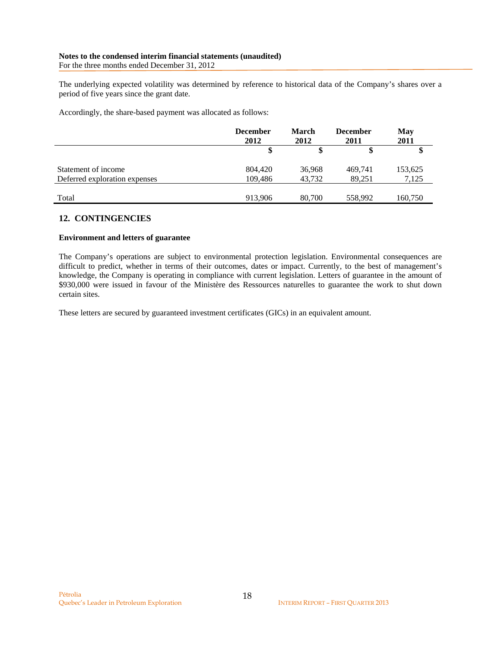For the three months ended December 31, 2012

The underlying expected volatility was determined by reference to historical data of the Company's shares over a period of five years since the grant date.

Accordingly, the share-based payment was allocated as follows:

|                               | <b>December</b><br>2012 | March<br>2012 | <b>December</b><br>2011 | May<br>2011 |
|-------------------------------|-------------------------|---------------|-------------------------|-------------|
|                               | S                       |               |                         |             |
| Statement of income           | 804,420                 | 36,968        | 469,741                 | 153,625     |
| Deferred exploration expenses | 109,486                 | 43,732        | 89.251                  | 7,125       |
| Total                         | 913,906                 | 80,700        | 558,992                 | 160,750     |

## **12. CONTINGENCIES**

#### **Environment and letters of guarantee**

The Company's operations are subject to environmental protection legislation. Environmental consequences are difficult to predict, whether in terms of their outcomes, dates or impact. Currently, to the best of management's knowledge, the Company is operating in compliance with current legislation. Letters of guarantee in the amount of \$930,000 were issued in favour of the Ministère des Ressources naturelles to guarantee the work to shut down certain sites.

These letters are secured by guaranteed investment certificates (GICs) in an equivalent amount.